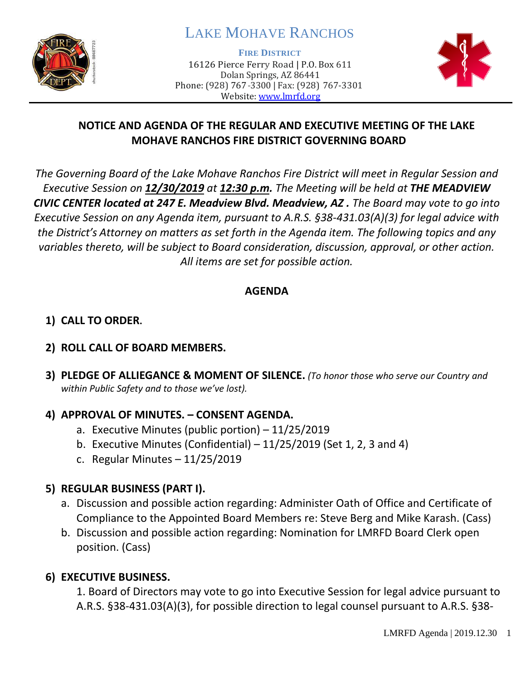

# LAKE MOHAVE RANCHOS

**FIRE DISTRICT**

16126 Pierce Ferry Road | P.O. Box 611 Dolan Springs, AZ 86441 Phone: (928) 767-3300 | Fax: (928) 767-3301 Website: [www.lmrfd.org](http://www.lmrfd.org/)



### **NOTICE AND AGENDA OF THE REGULAR AND EXECUTIVE MEETING OF THE LAKE MOHAVE RANCHOS FIRE DISTRICT GOVERNING BOARD**

*The Governing Board of the Lake Mohave Ranchos Fire District will meet in Regular Session and Executive Session on 12/30/2019 at 12:30 p.m. The Meeting will be held at THE MEADVIEW CIVIC CENTER located at 247 E. Meadview Blvd. Meadview, AZ . The Board may vote to go into Executive Session on any Agenda item, pursuant to A.R.S. §38-431.03(A)(3) for legal advice with the District's Attorney on matters as set forth in the Agenda item. The following topics and any variables thereto, will be subject to Board consideration, discussion, approval, or other action. All items are set for possible action.* 

### **AGENDA**

# **1) CALL TO ORDER.**

### **2) ROLL CALL OF BOARD MEMBERS.**

**3) PLEDGE OF ALLIEGANCE & MOMENT OF SILENCE.** *(To honor those who serve our Country and within Public Safety and to those we've lost).*

### **4) APPROVAL OF MINUTES. – CONSENT AGENDA.**

- a. Executive Minutes (public portion) 11/25/2019
- b. Executive Minutes (Confidential)  $-11/25/2019$  (Set 1, 2, 3 and 4)
- c. Regular Minutes 11/25/2019

# **5) REGULAR BUSINESS (PART I).**

- a. Discussion and possible action regarding: Administer Oath of Office and Certificate of Compliance to the Appointed Board Members re: Steve Berg and Mike Karash. (Cass)
- b. Discussion and possible action regarding: Nomination for LMRFD Board Clerk open position. (Cass)

# **6) EXECUTIVE BUSINESS.**

1. Board of Directors may vote to go into Executive Session for legal advice pursuant to A.R.S. §38-431.03(A)(3), for possible direction to legal counsel pursuant to A.R.S. §38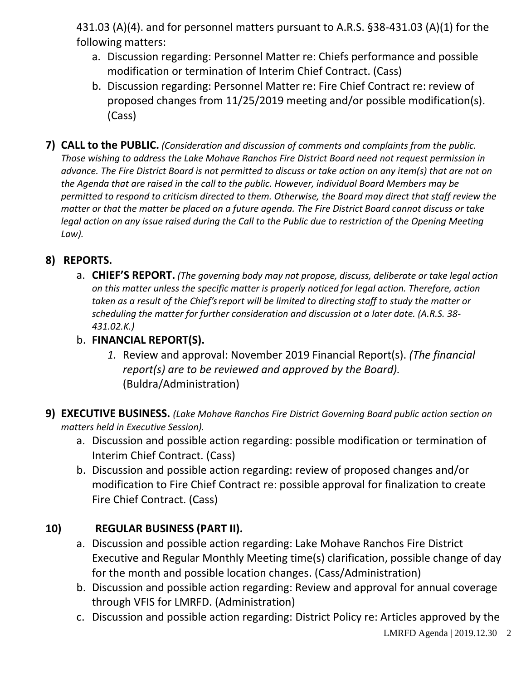431.03 (A)(4). and for personnel matters pursuant to A.R.S. §38-431.03 (A)(1) for the following matters:

- a. Discussion regarding: Personnel Matter re: Chiefs performance and possible modification or termination of Interim Chief Contract. (Cass)
- b. Discussion regarding: Personnel Matter re: Fire Chief Contract re: review of proposed changes from 11/25/2019 meeting and/or possible modification(s). (Cass)
- **7) CALL to the PUBLIC.** *(Consideration and discussion of comments and complaints from the public. Those wishing to address the Lake Mohave Ranchos Fire District Board need not request permission in advance. The Fire District Board is not permitted to discuss or take action on any item(s) that are not on the Agenda that are raised in the call to the public. However, individual Board Members may be permitted to respond to criticism directed to them. Otherwise, the Board may direct that staff review the matter or that the matter be placed on a future agenda. The Fire District Board cannot discuss or take legal action on any issue raised during the Call to the Public due to restriction of the Opening Meeting Law).*

# **8) REPORTS.**

a. **CHIEF'S REPORT.** *(The governing body may not propose, discuss, deliberate or take legal action on this matter unless the specific matter is properly noticed for legal action. Therefore, action taken as a result of the Chief's report will be limited to directing staff to study the matter or scheduling the matter for further consideration and discussion at a later date. (A.R.S. 38- 431.02.K.)*

### b. **FINANCIAL REPORT(S).**

- *1.* Review and approval: November 2019 Financial Report(s). *(The financial report(s) are to be reviewed and approved by the Board).* (Buldra/Administration)
- **9) EXECUTIVE BUSINESS.** *(Lake Mohave Ranchos Fire District Governing Board public action section on matters held in Executive Session).*
	- a. Discussion and possible action regarding: possible modification or termination of Interim Chief Contract. (Cass)
	- b. Discussion and possible action regarding: review of proposed changes and/or modification to Fire Chief Contract re: possible approval for finalization to create Fire Chief Contract. (Cass)

# **10) REGULAR BUSINESS (PART II).**

- a. Discussion and possible action regarding: Lake Mohave Ranchos Fire District Executive and Regular Monthly Meeting time(s) clarification, possible change of day for the month and possible location changes. (Cass/Administration)
- b. Discussion and possible action regarding: Review and approval for annual coverage through VFIS for LMRFD. (Administration)
- c. Discussion and possible action regarding: District Policy re: Articles approved by the